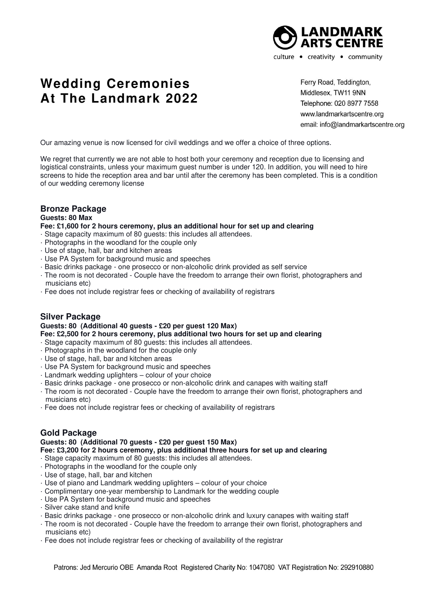

# **Wedding Ceremonies At The Landmark 2022**

Ferry Road, Teddington, Middlesex, TW11 9NN Telephone: 020 8977 7558 www.landmarkartscentre.org email: info@landmarkartscentre.org

Our amazing venue is now licensed for civil weddings and we offer a choice of three options.

We regret that currently we are not able to host both your ceremony and reception due to licensing and logistical constraints, unless your maximum guest number is under 120. In addition, you will need to hire screens to hide the reception area and bar until after the ceremony has been completed. This is a condition of our wedding ceremony license

### **Bronze Package**

#### **Guests: 80 Max**

#### **Fee: £1,600 for 2 hours ceremony, plus an additional hour for set up and clearing**

- · Stage capacity maximum of 80 guests: this includes all attendees.
- · Photographs in the woodland for the couple only
- · Use of stage, hall, bar and kitchen areas
- · Use PA System for background music and speeches
- · Basic drinks package one prosecco or non-alcoholic drink provided as self service
- · The room is not decorated Couple have the freedom to arrange their own florist, photographers and musicians etc)
- · Fee does not include registrar fees or checking of availability of registrars

#### **Silver Package**

## **Guests: 80 (Additional 40 guests - £20 per guest 120 Max)**

- **Fee: £2,500 for 2 hours ceremony, plus additional two hours for set up and clearing**
- · Stage capacity maximum of 80 guests: this includes all attendees.
- · Photographs in the woodland for the couple only
- · Use of stage, hall, bar and kitchen areas
- · Use PA System for background music and speeches
- · Landmark wedding uplighters colour of your choice
- · Basic drinks package one prosecco or non-alcoholic drink and canapes with waiting staff
- · The room is not decorated Couple have the freedom to arrange their own florist, photographers and musicians etc)
- · Fee does not include registrar fees or checking of availability of registrars

#### **Gold Package**

# **Guests: 80 (Additional 70 guests - £20 per guest 150 Max)**

- **Fee: £3,200 for 2 hours ceremony, plus additional three hours for set up and clearing**
- · Stage capacity maximum of 80 guests: this includes all attendees.
- · Photographs in the woodland for the couple only
- · Use of stage, hall, bar and kitchen
- · Use of piano and Landmark wedding uplighters colour of your choice
- · Complimentary one-year membership to Landmark for the wedding couple
- · Use PA System for background music and speeches
- · Silver cake stand and knife
- · Basic drinks package one prosecco or non-alcoholic drink and luxury canapes with waiting staff
- · The room is not decorated Couple have the freedom to arrange their own florist, photographers and musicians etc)
- · Fee does not include registrar fees or checking of availability of the registrar